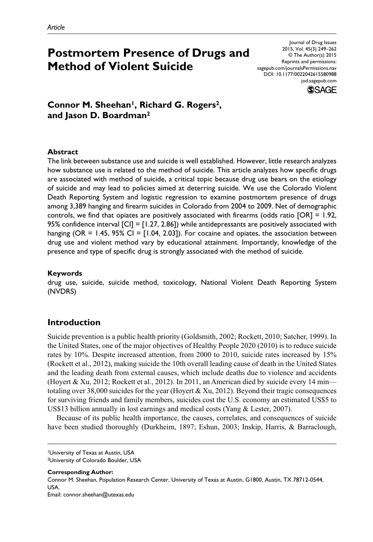# **Postmortem Presence of Drugs and Method of Violent Suicide**

Journal of Drug Issues 2015, Vol. 45(3) 249–262 © The Author(s) 2015 Reprints and permissions: sagepub.com/journalsPermissions.nav DOI: 10.1177/0022042615580988 jod.sagepub.com



Connor M. Sheehan<sup>1</sup>, Richard G. Rogers<sup>2</sup>, **and Jason D. Boardman2**

#### **Abstract**

The link between substance use and suicide is well established. However, little research analyzes how substance use is related to the method of suicide. This article analyzes how specific drugs are associated with method of suicide, a critical topic because drug use bears on the etiology of suicide and may lead to policies aimed at deterring suicide. We use the Colorado Violent Death Reporting System and logistic regression to examine postmortem presence of drugs among 3,389 hanging and firearm suicides in Colorado from 2004 to 2009. Net of demographic controls, we find that opiates are positively associated with firearms (odds ratio [OR] = 1.92, 95% confidence interval [CI] = [1.27, 2.86]) while antidepressants are positively associated with hanging (OR = 1.45, 95% CI =  $[1.04, 2.03]$ ). For cocaine and opiates, the association between drug use and violent method vary by educational attainment. Importantly, knowledge of the presence and type of specific drug is strongly associated with the method of suicide.

#### **Keywords**

drug use, suicide, suicide method, toxicology, National Violent Death Reporting System (NVDRS)

# **Introduction**

Suicide prevention is a public health priority (Goldsmith, 2002; Rockett, 2010; Satcher, 1999). In the United States, one of the major objectives of Healthy People 2020 (2010) is to reduce suicide rates by 10%. Despite increased attention, from 2000 to 2010, suicide rates increased by 15% (Rockett et al., 2012), making suicide the 10th overall leading cause of death in the United States and the leading death from external causes, which include deaths due to violence and accidents (Hoyert & Xu, 2012; Rockett et al., 2012). In 2011, an American died by suicide every 14 min totaling over 38,000 suicides for the year (Hoyert & Xu, 2012). Beyond their tragic consequences for surviving friends and family members, suicides cost the U.S. economy an estimated US\$5 to US\$13 billion annually in lost earnings and medical costs (Yang & Lester, 2007).

Because of its public health importance, the causes, correlates, and consequences of suicide have been studied thoroughly (Durkheim, 1897; Eshun, 2003; Inskip, Harris, & Barraclough,

**Corresponding Author:**

<sup>1</sup>University of Texas at Austin, USA

<sup>2</sup>University of Colorado Boulder, USA

Connor M. Sheehan, Population Research Center, University of Texas at Austin, G1800, Austin, TX 78712-0544, USA.

Email: [connor.sheehan@utexas.edu](mailto:connor.sheehan@utexas.edu)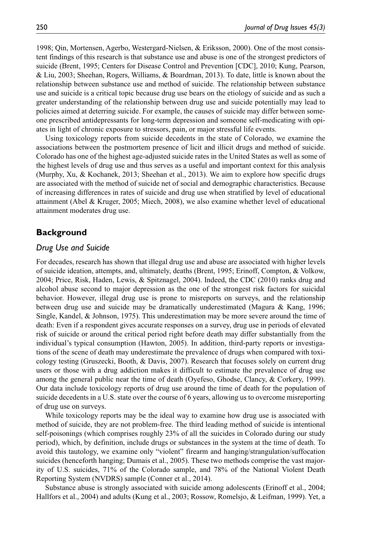1998; Qin, Mortensen, Agerbo, Westergard-Nielsen, & Eriksson, 2000). One of the most consistent findings of this research is that substance use and abuse is one of the strongest predictors of suicide (Brent, 1995; Centers for Disease Control and Prevention [CDC], 2010; Kung, Pearson, & Liu, 2003; Sheehan, Rogers, Williams, & Boardman, 2013). To date, little is known about the relationship between substance use and method of suicide. The relationship between substance use and suicide is a critical topic because drug use bears on the etiology of suicide and as such a greater understanding of the relationship between drug use and suicide potentially may lead to policies aimed at deterring suicide. For example, the causes of suicide may differ between someone prescribed antidepressants for long-term depression and someone self-medicating with opiates in light of chronic exposure to stressors, pain, or major stressful life events.

Using toxicology reports from suicide decedents in the state of Colorado, we examine the associations between the postmortem presence of licit and illicit drugs and method of suicide. Colorado has one of the highest age-adjusted suicide rates in the United States as well as some of the highest levels of drug use and thus serves as a useful and important context for this analysis (Murphy, Xu, & Kochanek, 2013; Sheehan et al., 2013). We aim to explore how specific drugs are associated with the method of suicide net of social and demographic characteristics. Because of increasing differences in rates of suicide and drug use when stratified by level of educational attainment (Abel & Kruger, 2005; Miech, 2008), we also examine whether level of educational attainment moderates drug use.

# **Background**

#### *Drug Use and Suicide*

For decades, research has shown that illegal drug use and abuse are associated with higher levels of suicide ideation, attempts, and, ultimately, deaths (Brent, 1995; Erinoff, Compton, & Volkow, 2004; Price, Risk, Haden, Lewis, & Spitznagel, 2004). Indeed, the CDC (2010) ranks drug and alcohol abuse second to major depression as the one of the strongest risk factors for suicidal behavior. However, illegal drug use is prone to misreports on surveys, and the relationship between drug use and suicide may be dramatically underestimated (Magura & Kang, 1996; Single, Kandel, & Johnson, 1975). This underestimation may be more severe around the time of death: Even if a respondent gives accurate responses on a survey, drug use in periods of elevated risk of suicide or around the critical period right before death may differ substantially from the individual's typical consumption (Hawton, 2005). In addition, third-party reports or investigations of the scene of death may underestimate the prevalence of drugs when compared with toxicology testing (Gruszecki, Booth, & Davis, 2007). Research that focuses solely on current drug users or those with a drug addiction makes it difficult to estimate the prevalence of drug use among the general public near the time of death (Oyefeso, Ghodse, Clancy, & Corkery, 1999). Our data include toxicology reports of drug use around the time of death for the population of suicide decedents in a U.S. state over the course of 6 years, allowing us to overcome misreporting of drug use on surveys.

While toxicology reports may be the ideal way to examine how drug use is associated with method of suicide, they are not problem-free. The third leading method of suicide is intentional self-poisonings (which comprises roughly 23% of all the suicides in Colorado during our study period), which, by definition, include drugs or substances in the system at the time of death. To avoid this tautology, we examine only "violent" firearm and hanging/strangulation/suffocation suicides (henceforth hanging; Dumais et al., 2005). These two methods comprise the vast majority of U.S. suicides, 71% of the Colorado sample, and 78% of the National Violent Death Reporting System (NVDRS) sample (Conner et al., 2014).

Substance abuse is strongly associated with suicide among adolescents (Erinoff et al., 2004; Hallfors et al., 2004) and adults (Kung et al., 2003; Rossow, Romelsjo, & Leifman, 1999). Yet, a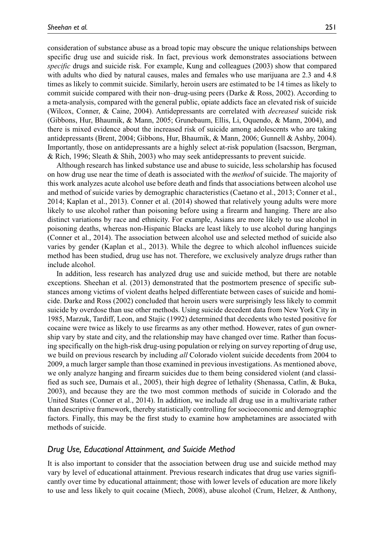consideration of substance abuse as a broad topic may obscure the unique relationships between specific drug use and suicide risk. In fact, previous work demonstrates associations between *specific* drugs and suicide risk. For example, Kung and colleagues (2003) show that compared with adults who died by natural causes, males and females who use marijuana are 2.3 and 4.8 times as likely to commit suicide. Similarly, heroin users are estimated to be 14 times as likely to commit suicide compared with their non–drug-using peers (Darke & Ross, 2002). According to a meta-analysis, compared with the general public, opiate addicts face an elevated risk of suicide (Wilcox, Conner, & Caine, 2004). Antidepressants are correlated with *decreased* suicide risk (Gibbons, Hur, Bhaumik, & Mann, 2005; Grunebaum, Ellis, Li, Oquendo, & Mann, 2004), and there is mixed evidence about the increased risk of suicide among adolescents who are taking antidepressants (Brent, 2004; Gibbons, Hur, Bhaumik, & Mann, 2006; Gunnell & Ashby, 2004). Importantly, those on antidepressants are a highly select at-risk population (Isacsson, Bergman, & Rich, 1996; Sleath & Shih, 2003) who may seek antidepressants to prevent suicide.

Although research has linked substance use and abuse to suicide, less scholarship has focused on how drug use near the time of death is associated with the *method* of suicide. The majority of this work analyzes acute alcohol use before death and finds that associations between alcohol use and method of suicide varies by demographic characteristics (Caetano et al., 2013; Conner et al., 2014; Kaplan et al., 2013). Conner et al. (2014) showed that relatively young adults were more likely to use alcohol rather than poisoning before using a firearm and hanging. There are also distinct variations by race and ethnicity. For example, Asians are more likely to use alcohol in poisoning deaths, whereas non-Hispanic Blacks are least likely to use alcohol during hangings (Conner et al., 2014). The association between alcohol use and selected method of suicide also varies by gender (Kaplan et al., 2013). While the degree to which alcohol influences suicide method has been studied, drug use has not. Therefore, we exclusively analyze drugs rather than include alcohol.

In addition, less research has analyzed drug use and suicide method, but there are notable exceptions. Sheehan et al. (2013) demonstrated that the postmortem presence of specific substances among victims of violent deaths helped differentiate between cases of suicide and homicide. Darke and Ross (2002) concluded that heroin users were surprisingly less likely to commit suicide by overdose than use other methods. Using suicide decedent data from New York City in 1985, Marzuk, Tardiff, Leon, and Stajic (1992) determined that decedents who tested positive for cocaine were twice as likely to use firearms as any other method. However, rates of gun ownership vary by state and city, and the relationship may have changed over time. Rather than focusing specifically on the high-risk drug-using population or relying on survey reporting of drug use, we build on previous research by including *all* Colorado violent suicide decedents from 2004 to 2009, a much larger sample than those examined in previous investigations. As mentioned above, we only analyze hanging and firearm suicides due to them being considered violent (and classified as such see, Dumais et al., 2005), their high degree of lethality (Shenassa, Catlin, & Buka, 2003), and because they are the two most common methods of suicide in Colorado and the United States (Conner et al., 2014). In addition, we include all drug use in a multivariate rather than descriptive framework, thereby statistically controlling for socioeconomic and demographic factors. Finally, this may be the first study to examine how amphetamines are associated with methods of suicide.

#### *Drug Use, Educational Attainment, and Suicide Method*

It is also important to consider that the association between drug use and suicide method may vary by level of educational attainment. Previous research indicates that drug use varies significantly over time by educational attainment; those with lower levels of education are more likely to use and less likely to quit cocaine (Miech, 2008), abuse alcohol (Crum, Helzer, & Anthony,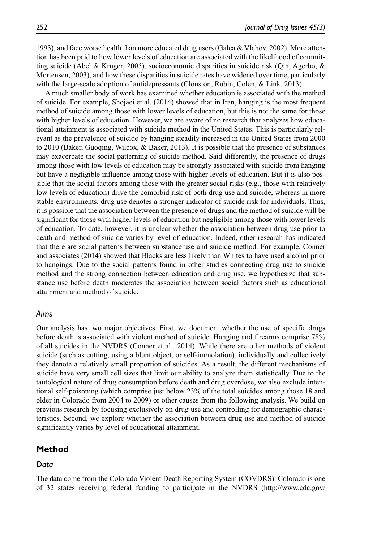1993), and face worse health than more educated drug users (Galea & Vlahov, 2002). More attention has been paid to how lower levels of education are associated with the likelihood of committing suicide (Abel & Kruger, 2005), socioeconomic disparities in suicide risk (Qin, Agerbo, & Mortensen, 2003), and how these disparities in suicide rates have widened over time, particularly with the large-scale adoption of antidepressants (Clouston, Rubin, Colen, & Link, 2013).

A much smaller body of work has examined whether education is associated with the method of suicide. For example, Shojaei et al. (2014) showed that in Iran, hanging is the most frequent method of suicide among those with lower levels of education, but this is not the same for those with higher levels of education. However, we are aware of no research that analyzes how educational attainment is associated with suicide method in the United States. This is particularly relevant as the prevalence of suicide by hanging steadily increased in the United States from 2000 to 2010 (Baker, Guoqing, Wilcox, & Baker, 2013). It is possible that the presence of substances may exacerbate the social patterning of suicide method. Said differently, the presence of drugs among those with low levels of education may be strongly associated with suicide from hanging but have a negligible influence among those with higher levels of education. But it is also possible that the social factors among those with the greater social risks (e.g., those with relatively low levels of education) drive the comorbid risk of both drug use and suicide, whereas in more stable environments, drug use denotes a stronger indicator of suicide risk for individuals. Thus, it is possible that the association between the presence of drugs and the method of suicide will be significant for those with higher levels of education but negligible among those with lower levels of education. To date, however, it is unclear whether the association between drug use prior to death and method of suicide varies by level of education. Indeed, other research has indicated that there are social patterns between substance use and suicide method. For example, Conner and associates (2014) showed that Blacks are less likely than Whites to have used alcohol prior to hangings. Due to the social patterns found in other studies connecting drug use to suicide method and the strong connection between education and drug use, we hypothesize that substance use before death moderates the association between social factors such as educational attainment and method of suicide.

#### *Aims*

Our analysis has two major objectives. First, we document whether the use of specific drugs before death is associated with violent method of suicide. Hanging and firearms comprise 78% of all suicides in the NVDRS (Conner et al., 2014). While there are other methods of violent suicide (such as cutting, using a blunt object, or self-immolation), individually and collectively they denote a relatively small proportion of suicides. As a result, the different mechanisms of suicide have very small cell sizes that limit our ability to analyze them statistically. Due to the tautological nature of drug consumption before death and drug overdose, we also exclude intentional self-poisoning (which comprise just below 23% of the total suicides among those 18 and older in Colorado from 2004 to 2009) or other causes from the following analysis. We build on previous research by focusing exclusively on drug use and controlling for demographic characteristics. Second, we explore whether the association between drug use and method of suicide significantly varies by level of educational attainment.

# **Method**

#### *Data*

The data come from the Colorado Violent Death Reporting System (COVDRS). Colorado is one of 32 states receiving federal funding to participate in the NVDRS [\(http://www.cdc.gov/](http://www.cdc.gov/ViolencePrevention/NVDRS/index.html)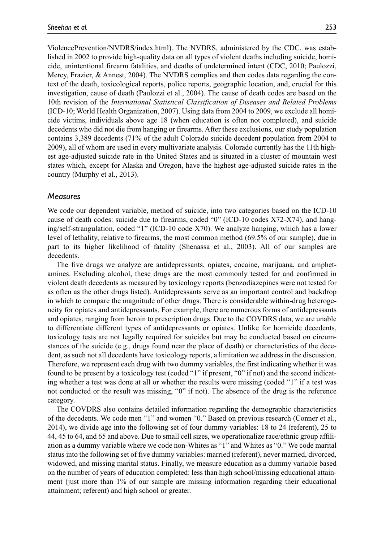[ViolencePrevention/NVDRS/index.html](http://www.cdc.gov/ViolencePrevention/NVDRS/index.html)). The NVDRS, administered by the CDC, was established in 2002 to provide high-quality data on all types of violent deaths including suicide, homicide, unintentional firearm fatalities, and deaths of undetermined intent (CDC, 2010; Paulozzi, Mercy, Frazier, & Annest, 2004). The NVDRS complies and then codes data regarding the context of the death, toxicological reports, police reports, geographic location, and, crucial for this investigation, cause of death (Paulozzi et al., 2004). The cause of death codes are based on the 10th revision of the *International Statistical Classification of Diseases and Related Problems* (ICD-10; World Health Organization, 2007). Using data from 2004 to 2009, we exclude all homicide victims, individuals above age 18 (when education is often not completed), and suicide decedents who did not die from hanging or firearms. After these exclusions, our study population contains 3,389 decedents (71% of the adult Colorado suicide decedent population from 2004 to 2009), all of whom are used in every multivariate analysis. Colorado currently has the 11th highest age-adjusted suicide rate in the United States and is situated in a cluster of mountain west states which, except for Alaska and Oregon, have the highest age-adjusted suicide rates in the country (Murphy et al., 2013).

#### *Measures*

We code our dependent variable, method of suicide, into two categories based on the ICD-10 cause of death codes: suicide due to firearms, coded "0" (ICD-10 codes X72-X74), and hanging/self-strangulation, coded "1" (ICD-10 code X70). We analyze hanging, which has a lower level of lethality, relative to firearms, the most common method (69.5% of our sample), due in part to its higher likelihood of fatality (Shenassa et al., 2003). All of our samples are decedents.

The five drugs we analyze are antidepressants, opiates, cocaine, marijuana, and amphetamines. Excluding alcohol, these drugs are the most commonly tested for and confirmed in violent death decedents as measured by toxicology reports (benzodiazepines were not tested for as often as the other drugs listed). Antidepressants serve as an important control and backdrop in which to compare the magnitude of other drugs. There is considerable within-drug heterogeneity for opiates and antidepressants. For example, there are numerous forms of antidepressants and opiates, ranging from heroin to prescription drugs. Due to the COVDRS data, we are unable to differentiate different types of antidepressants or opiates. Unlike for homicide decedents, toxicology tests are not legally required for suicides but may be conducted based on circumstances of the suicide (e.g., drugs found near the place of death) or characteristics of the decedent, as such not all decedents have toxicology reports, a limitation we address in the discussion. Therefore, we represent each drug with two dummy variables, the first indicating whether it was found to be present by a toxicology test (coded "1" if present, "0" if not) and the second indicating whether a test was done at all or whether the results were missing (coded "1" if a test was not conducted or the result was missing, "0" if not). The absence of the drug is the reference category.

The COVDRS also contains detailed information regarding the demographic characteristics of the decedents. We code men "1" and women "0." Based on previous research (Conner et al., 2014), we divide age into the following set of four dummy variables: 18 to 24 (referent), 25 to 44, 45 to 64, and 65 and above. Due to small cell sizes, we operationalize race/ethnic group affiliation as a dummy variable where we code non-Whites as "1" and Whites as "0." We code marital status into the following set of five dummy variables: married (referent), never married, divorced, widowed, and missing marital status. Finally, we measure education as a dummy variable based on the number of years of education completed: less than high school/missing educational attainment (just more than 1% of our sample are missing information regarding their educational attainment; referent) and high school or greater.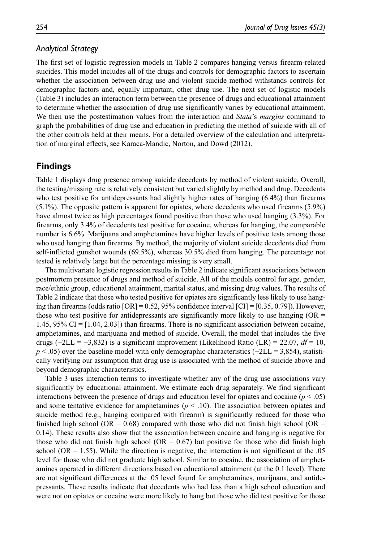#### *Analytical Strategy*

The first set of logistic regression models in Table 2 compares hanging versus firearm-related suicides. This model includes all of the drugs and controls for demographic factors to ascertain whether the association between drug use and violent suicide method withstands controls for demographic factors and, equally important, other drug use. The next set of logistic models (Table 3) includes an interaction term between the presence of drugs and educational attainment to determine whether the association of drug use significantly varies by educational attainment. We then use the postestimation values from the interaction and *Stata*'s *margins* command to graph the probabilities of drug use and education in predicting the method of suicide with all of the other controls held at their means. For a detailed overview of the calculation and interpretation of marginal effects, see Karaca-Mandic, Norton, and Dowd (2012).

# **Findings**

Table 1 displays drug presence among suicide decedents by method of violent suicide. Overall, the testing/missing rate is relatively consistent but varied slightly by method and drug. Decedents who test positive for antidepressants had slightly higher rates of hanging (6.4%) than firearms (5.1%). The opposite pattern is apparent for opiates, where decedents who used firearms (5.9%) have almost twice as high percentages found positive than those who used hanging (3.3%). For firearms, only 3.4% of decedents test positive for cocaine, whereas for hanging, the comparable number is 6.6%. Marijuana and amphetamines have higher levels of positive tests among those who used hanging than firearms. By method, the majority of violent suicide decedents died from self-inflicted gunshot wounds (69.5%), whereas 30.5% died from hanging. The percentage not tested is relatively large but the percentage missing is very small.

The multivariate logistic regression results in Table 2 indicate significant associations between postmortem presence of drugs and method of suicide. All of the models control for age, gender, race/ethnic group, educational attainment, marital status, and missing drug values. The results of Table 2 indicate that those who tested positive for opiates are significantly less likely to use hanging than firearms (odds ratio  $[OR] = 0.52$ , 95% confidence interval  $[CI] = [0.35, 0.79]$ ). However, those who test positive for antidepressants are significantly more likely to use hanging  $(OR =$ 1.45, 95% CI =  $[1.04, 2.03]$ ) than firearms. There is no significant association between cocaine, amphetamines, and marijuana and method of suicide. Overall, the model that includes the five drugs (−2LL = −3,832) is a significant improvement (Likelihood Ratio (LR) = 22.07, *df* = 10, *p* < .05) over the baseline model with only demographic characteristics (−2LL = 3,854), statistically verifying our assumption that drug use is associated with the method of suicide above and beyond demographic characteristics.

Table 3 uses interaction terms to investigate whether any of the drug use associations vary significantly by educational attainment. We estimate each drug separately. We find significant interactions between the presence of drugs and education level for opiates and cocaine  $(p < .05)$ and some tentative evidence for amphetamines ( $p < .10$ ). The association between opiates and suicide method (e.g., hanging compared with firearm) is significantly reduced for those who finished high school (OR =  $0.68$ ) compared with those who did not finish high school (OR = 0.14). These results also show that the association between cocaine and hanging is negative for those who did not finish high school (OR  $= 0.67$ ) but positive for those who did finish high school (OR = 1.55). While the direction is negative, the interaction is not significant at the .05 level for those who did not graduate high school. Similar to cocaine, the association of amphetamines operated in different directions based on educational attainment (at the 0.1 level). There are not significant differences at the .05 level found for amphetamines, marijuana, and antidepressants. These results indicate that decedents who had less than a high school education and were not on opiates or cocaine were more likely to hang but those who did test positive for those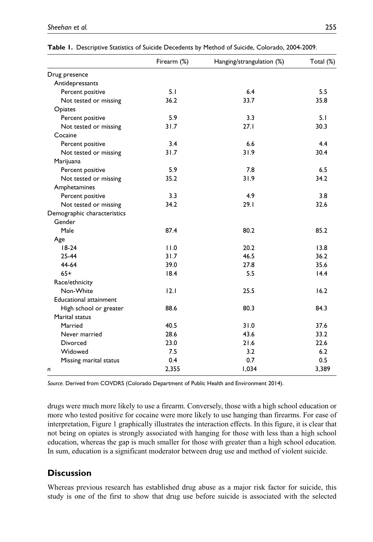|                               | Firearm (%) | Hanging/strangulation (%) | Total (%) |  |
|-------------------------------|-------------|---------------------------|-----------|--|
| Drug presence                 |             |                           |           |  |
| Antidepressants               |             |                           |           |  |
| Percent positive              | 5.1         | 6.4                       | 5.5       |  |
| Not tested or missing         | 36.2        | 33.7                      | 35.8      |  |
| Opiates                       |             |                           |           |  |
| Percent positive              | 5.9         | 3.3                       | 5.1       |  |
| Not tested or missing         | 31.7        | 27.1                      | 30.3      |  |
| Cocaine                       |             |                           |           |  |
| Percent positive              | 3.4         | 6.6                       | 4.4       |  |
| Not tested or missing         | 31.7        | 31.9                      | 30.4      |  |
| Marijuana                     |             |                           |           |  |
| Percent positive              | 5.9         | 7.8                       | 6.5       |  |
| Not tested or missing         | 35.2        | 31.9                      | 34.2      |  |
| Amphetamines                  |             |                           |           |  |
| Percent positive              | 3.3         | 4.9                       | 3.8       |  |
| Not tested or missing         | 34.2        | 29.1                      | 32.6      |  |
| Demographic characteristics   |             |                           |           |  |
| Gender                        |             |                           |           |  |
| Male                          | 87.4        | 80.2                      | 85.2      |  |
| Age                           |             |                           |           |  |
| $18-24$                       | 11.0        | 20.2                      | 13.8      |  |
| 25-44                         | 31.7        | 46.5                      | 36.2      |  |
| 44-64                         | 39.0        | 27.8                      | 35.6      |  |
| $65+$                         | 18.4        | 5.5                       | 14.4      |  |
| Race/ethnicity                |             |                           |           |  |
| Non-White                     | 12.1        | 25.5                      | 16.2      |  |
| <b>Educational attainment</b> |             |                           |           |  |
| High school or greater        | 88.6        | 80.3                      | 84.3      |  |
| Marital status                |             |                           |           |  |
| Married                       | 40.5        | 31.0                      | 37.6      |  |
| Never married                 | 28.6        | 43.6                      | 33.2      |  |
| <b>Divorced</b>               | 23.0        | 21.6                      | 22.6      |  |
| Widowed                       | 7.5         | 3.2                       | 6.2       |  |
| Missing marital status        | 0.4         | 0.7                       | 0.5       |  |
| n                             | 2,355       | 1,034                     | 3,389     |  |

**Table 1.** Descriptive Statistics of Suicide Decedents by Method of Suicide, Colorado, 2004-2009.

*Source.* Derived from COVDRS (Colorado Department of Public Health and Environment 2014).

drugs were much more likely to use a firearm. Conversely, those with a high school education or more who tested positive for cocaine were more likely to use hanging than firearms. For ease of interpretation, Figure 1 graphically illustrates the interaction effects. In this figure, it is clear that not being on opiates is strongly associated with hanging for those with less than a high school education, whereas the gap is much smaller for those with greater than a high school education. In sum, education is a significant moderator between drug use and method of violent suicide.

# **Discussion**

Whereas previous research has established drug abuse as a major risk factor for suicide, this study is one of the first to show that drug use before suicide is associated with the selected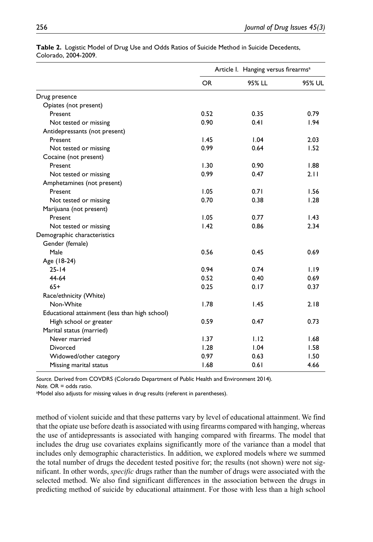|                                                | Article I. Hanging versus firearms <sup>a</sup> |        |        |  |  |
|------------------------------------------------|-------------------------------------------------|--------|--------|--|--|
|                                                | <b>OR</b>                                       | 95% LL | 95% UL |  |  |
| Drug presence                                  |                                                 |        |        |  |  |
| Opiates (not present)                          |                                                 |        |        |  |  |
| Present                                        | 0.52                                            | 0.35   | 0.79   |  |  |
| Not tested or missing                          | 0.90                                            | 0.41   | 1.94   |  |  |
| Antidepressants (not present)                  |                                                 |        |        |  |  |
| Present                                        | 1.45                                            | 1.04   | 2.03   |  |  |
| Not tested or missing                          | 0.99                                            | 0.64   | 1.52   |  |  |
| Cocaine (not present)                          |                                                 |        |        |  |  |
| Present                                        | 1.30                                            | 0.90   | 1.88   |  |  |
| Not tested or missing                          | 0.99                                            | 0.47   | 2.11   |  |  |
| Amphetamines (not present)                     |                                                 |        |        |  |  |
| Present                                        | 1.05                                            | 0.71   | 1.56   |  |  |
| Not tested or missing                          | 0.70                                            | 0.38   | 1.28   |  |  |
| Marijuana (not present)                        |                                                 |        |        |  |  |
| Present                                        | 1.05                                            | 0.77   | 1.43   |  |  |
| Not tested or missing                          | 1.42                                            | 0.86   | 2.34   |  |  |
| Demographic characteristics                    |                                                 |        |        |  |  |
| Gender (female)                                |                                                 |        |        |  |  |
| Male                                           | 0.56                                            | 0.45   | 0.69   |  |  |
| Age (18-24)                                    |                                                 |        |        |  |  |
| $25 - 14$                                      | 0.94                                            | 0.74   | 1.19   |  |  |
| 44-64                                          | 0.52                                            | 0.40   | 0.69   |  |  |
| $65+$                                          | 0.25                                            | 0.17   | 0.37   |  |  |
| Race/ethnicity (White)                         |                                                 |        |        |  |  |
| Non-White                                      | 1.78                                            | 1.45   | 2.18   |  |  |
| Educational attainment (less than high school) |                                                 |        |        |  |  |
| High school or greater                         | 0.59                                            | 0.47   | 0.73   |  |  |
| Marital status (married)                       |                                                 |        |        |  |  |
| Never married                                  | 1.37                                            | 1.12   | 1.68   |  |  |
| Divorced                                       | 1.28                                            | 1.04   | 1.58   |  |  |
| Widowed/other category                         | 0.97                                            | 0.63   | 1.50   |  |  |
| Missing marital status                         | 1.68                                            | 0.61   | 4.66   |  |  |

**Table 2.** Logistic Model of Drug Use and Odds Ratios of Suicide Method in Suicide Decedents, Colorado, 2004-2009.

*Source.* Derived from COVDRS (Colorado Department of Public Health and Environment 2014).

*Note.* OR = odds ratio.

a Model also adjusts for missing values in drug results (referent in parentheses).

method of violent suicide and that these patterns vary by level of educational attainment. We find that the opiate use before death is associated with using firearms compared with hanging, whereas the use of antidepressants is associated with hanging compared with firearms. The model that includes the drug use covariates explains significantly more of the variance than a model that includes only demographic characteristics. In addition, we explored models where we summed the total number of drugs the decedent tested positive for; the results (not shown) were not significant. In other words, *specific* drugs rather than the number of drugs were associated with the selected method. We also find significant differences in the association between the drugs in predicting method of suicide by educational attainment. For those with less than a high school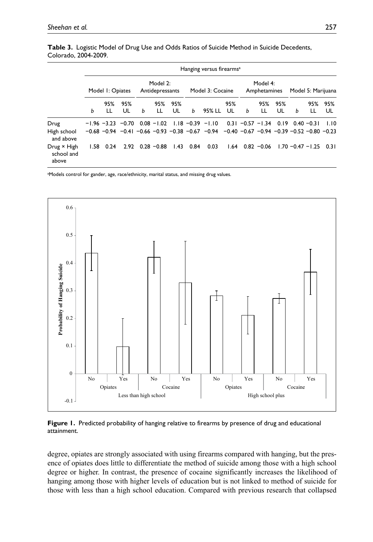|                                    |                  | Hanging versus firearms <sup>a</sup> |                                  |                             |                          |                  |      |                                                                                                                         |           |                    |                                      |           |   |                           |           |
|------------------------------------|------------------|--------------------------------------|----------------------------------|-----------------------------|--------------------------|------------------|------|-------------------------------------------------------------------------------------------------------------------------|-----------|--------------------|--------------------------------------|-----------|---|---------------------------|-----------|
|                                    | Model 1: Opiates |                                      |                                  | Model 2:<br>Antidepressants |                          | Model 3: Cocaine |      | Model 4:<br>Amphetamines                                                                                                |           | Model 5: Marijuana |                                      |           |   |                           |           |
|                                    | b                | 95%<br>LL                            | 95%<br>UL                        | b                           | 95%<br>LL                | 95%<br>UL        | b    | 95% LL                                                                                                                  | 95%<br>UL | b                  | 95%<br>LL                            | 95%<br>UL | b | 95%<br>LL                 | 95%<br>UL |
| Drug                               |                  |                                      | $-1.96 -3.23 -0.70$ 0.08 $-1.02$ |                             |                          |                  |      | $1.18 - 0.39 - 1.10$                                                                                                    |           |                    | $0.31 - 0.57 - 1.34$ 0.19 0.40 -0.31 |           |   |                           | 1.10      |
| High school<br>and above           |                  |                                      |                                  |                             |                          |                  |      | $-0.68$ $-0.94$ $-0.41$ $-0.66$ $-0.93$ $-0.38$ $-0.67$ $-0.94$ $-0.40$ $-0.67$ $-0.94$ $-0.39$ $-0.52$ $-0.80$ $-0.23$ |           |                    |                                      |           |   |                           |           |
| Drug × High<br>school and<br>above | 1.58             | 0.24                                 |                                  |                             | $2.92 \quad 0.28 - 0.88$ | 1.43             | 0.84 | 0.03                                                                                                                    | 1.64      |                    | $0.82 - 0.06$                        |           |   | $1.70 - 0.47 - 1.25$ 0.31 |           |

**Table 3.** Logistic Model of Drug Use and Odds Ratios of Suicide Method in Suicide Decedents, Colorado, 2004-2009.

a Models control for gander, age, race/ethnicity, marital status, and missing drug values.



**Figure 1.** Predicted probability of hanging relative to firearms by presence of drug and educational attainment.

degree, opiates are strongly associated with using firearms compared with hanging, but the presence of opiates does little to differentiate the method of suicide among those with a high school degree or higher. In contrast, the presence of cocaine significantly increases the likelihood of hanging among those with higher levels of education but is not linked to method of suicide for those with less than a high school education. Compared with previous research that collapsed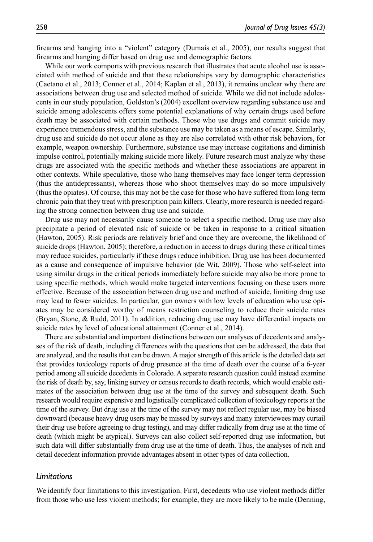firearms and hanging into a "violent" category (Dumais et al., 2005), our results suggest that firearms and hanging differ based on drug use and demographic factors.

While our work comports with previous research that illustrates that acute alcohol use is associated with method of suicide and that these relationships vary by demographic characteristics (Caetano et al., 2013; Conner et al., 2014; Kaplan et al., 2013), it remains unclear why there are associations between drug use and selected method of suicide. While we did not include adolescents in our study population, Goldston's (2004) excellent overview regarding substance use and suicide among adolescents offers some potential explanations of why certain drugs used before death may be associated with certain methods. Those who use drugs and commit suicide may experience tremendous stress, and the substance use may be taken as a means of escape. Similarly, drug use and suicide do not occur alone as they are also correlated with other risk behaviors, for example, weapon ownership. Furthermore, substance use may increase cogitations and diminish impulse control, potentially making suicide more likely. Future research must analyze why these drugs are associated with the specific methods and whether these associations are apparent in other contexts. While speculative, those who hang themselves may face longer term depression (thus the antidepressants), whereas those who shoot themselves may do so more impulsively (thus the opiates). Of course, this may not be the case for those who have suffered from long-term chronic pain that they treat with prescription pain killers. Clearly, more research is needed regarding the strong connection between drug use and suicide.

Drug use may not necessarily cause someone to select a specific method. Drug use may also precipitate a period of elevated risk of suicide or be taken in response to a critical situation (Hawton, 2005). Risk periods are relatively brief and once they are overcome, the likelihood of suicide drops (Hawton, 2005); therefore, a reduction in access to drugs during these critical times may reduce suicides, particularly if these drugs reduce inhibition. Drug use has been documented as a cause and consequence of impulsive behavior (de Wit, 2009). Those who self-select into using similar drugs in the critical periods immediately before suicide may also be more prone to using specific methods, which would make targeted interventions focusing on these users more effective. Because of the association between drug use and method of suicide, limiting drug use may lead to fewer suicides. In particular, gun owners with low levels of education who use opiates may be considered worthy of means restriction counseling to reduce their suicide rates (Bryan, Stone, & Rudd, 2011). In addition, reducing drug use may have differential impacts on suicide rates by level of educational attainment (Conner et al., 2014).

There are substantial and important distinctions between our analyses of decedents and analyses of the risk of death, including differences with the questions that can be addressed, the data that are analyzed, and the results that can be drawn. A major strength of this article is the detailed data set that provides toxicology reports of drug presence at the time of death over the course of a 6-year period among all suicide decedents in Colorado. A separate research question could instead examine the risk of death by, say, linking survey or census records to death records, which would enable estimates of the association between drug use at the time of the survey and subsequent death. Such research would require expensive and logistically complicated collection of toxicology reports at the time of the survey. But drug use at the time of the survey may not reflect regular use, may be biased downward (because heavy drug users may be missed by surveys and many interviewees may curtail their drug use before agreeing to drug testing), and may differ radically from drug use at the time of death (which might be atypical). Surveys can also collect self-reported drug use information, but such data will differ substantially from drug use at the time of death. Thus, the analyses of rich and detail decedent information provide advantages absent in other types of data collection.

#### *Limitations*

We identify four limitations to this investigation. First, decedents who use violent methods differ from those who use less violent methods; for example, they are more likely to be male (Denning,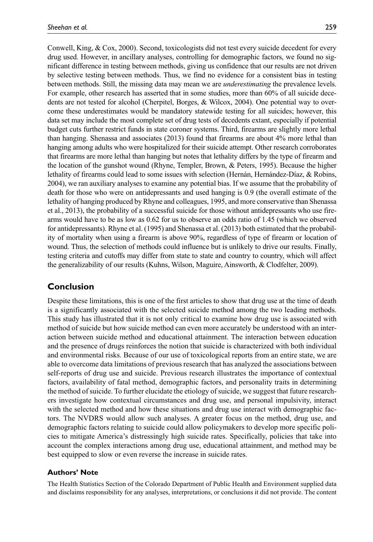Conwell, King, & Cox, 2000). Second, toxicologists did not test every suicide decedent for every drug used. However, in ancillary analyses, controlling for demographic factors, we found no significant difference in testing between methods, giving us confidence that our results are not driven by selective testing between methods. Thus, we find no evidence for a consistent bias in testing between methods. Still, the missing data may mean we are *underestimating* the prevalence levels. For example, other research has asserted that in some studies, more than 60% of all suicide decedents are not tested for alcohol (Cherpitel, Borges, & Wilcox, 2004). One potential way to overcome these underestimates would be mandatory statewide testing for all suicides; however, this data set may include the most complete set of drug tests of decedents extant, especially if potential budget cuts further restrict funds in state coroner systems. Third, firearms are slightly more lethal than hanging. Shenassa and associates (2013) found that firearms are about 4% more lethal than hanging among adults who were hospitalized for their suicide attempt. Other research corroborates that firearms are more lethal than hanging but notes that lethality differs by the type of firearm and the location of the gunshot wound (Rhyne, Templer, Brown, & Peters, 1995). Because the higher lethality of firearms could lead to some issues with selection (Hernán, Hernández-Díaz, & Robins, 2004), we ran auxiliary analyses to examine any potential bias. If we assume that the probability of death for those who were on antidepressants and used hanging is 0.9 (the overall estimate of the lethality of hanging produced by Rhyne and colleagues, 1995, and more conservative than Shenassa et al., 2013), the probability of a successful suicide for those without antidepressants who use firearms would have to be as low as 0.62 for us to observe an odds ratio of 1.45 (which we observed for antidepressants). Rhyne et al. (1995) and Shenassa et al. (2013) both estimated that the probability of mortality when using a firearm is above 90%, regardless of type of firearm or location of wound. Thus, the selection of methods could influence but is unlikely to drive our results. Finally, testing criteria and cutoffs may differ from state to state and country to country, which will affect the generalizability of our results (Kuhns, Wilson, Maguire, Ainsworth, & Clodfelter, 2009).

# **Conclusion**

Despite these limitations, this is one of the first articles to show that drug use at the time of death is a significantly associated with the selected suicide method among the two leading methods. This study has illustrated that it is not only critical to examine how drug use is associated with method of suicide but how suicide method can even more accurately be understood with an interaction between suicide method and educational attainment. The interaction between education and the presence of drugs reinforces the notion that suicide is characterized with both individual and environmental risks. Because of our use of toxicological reports from an entire state, we are able to overcome data limitations of previous research that has analyzed the associations between self-reports of drug use and suicide. Previous research illustrates the importance of contextual factors, availability of fatal method, demographic factors, and personality traits in determining the method of suicide. To further elucidate the etiology of suicide, we suggest that future researchers investigate how contextual circumstances and drug use, and personal impulsivity, interact with the selected method and how these situations and drug use interact with demographic factors. The NVDRS would allow such analyses. A greater focus on the method, drug use, and demographic factors relating to suicide could allow policymakers to develop more specific policies to mitigate America's distressingly high suicide rates. Specifically, policies that take into account the complex interactions among drug use, educational attainment, and method may be best equipped to slow or even reverse the increase in suicide rates.

### **Authors' Note**

The Health Statistics Section of the Colorado Department of Public Health and Environment supplied data and disclaims responsibility for any analyses, interpretations, or conclusions it did not provide. The content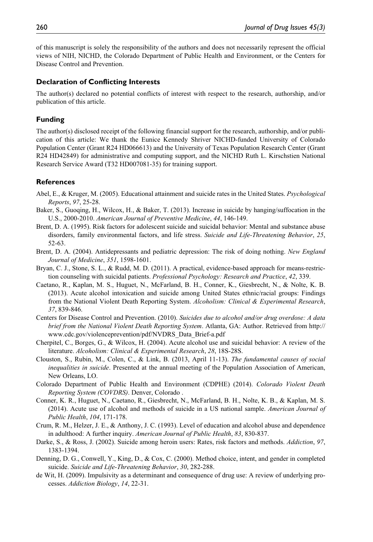of this manuscript is solely the responsibility of the authors and does not necessarily represent the official views of NIH, NICHD, the Colorado Department of Public Health and Environment, or the Centers for Disease Control and Prevention.

#### **Declaration of Conflicting Interests**

The author(s) declared no potential conflicts of interest with respect to the research, authorship, and/or publication of this article.

# **Funding**

The author(s) disclosed receipt of the following financial support for the research, authorship, and/or publication of this article: We thank the Eunice Kennedy Shriver NICHD-funded University of Colorado Population Center (Grant R24 HD066613) and the University of Texas Population Research Center (Grant R24 HD42849) for administrative and computing support, and the NICHD Ruth L. Kirschstien National Research Service Award (T32 HD007081-35) for training support.

# **References**

- Abel, E., & Kruger, M. (2005). Educational attainment and suicide rates in the United States. *Psychological Reports*, *97*, 25-28.
- Baker, S., Guoqing, H., Wilcox, H., & Baker, T. (2013). Increase in suicide by hanging/suffocation in the U.S., 2000-2010. *American Journal of Preventive Medicine*, *44*, 146-149.
- Brent, D. A. (1995). Risk factors for adolescent suicide and suicidal behavior: Mental and substance abuse disorders, family environmental factors, and life stress. *Suicide and Life-Threatening Behavior*, *25*, 52-63.
- Brent, D. A. (2004). Antidepressants and pediatric depression: The risk of doing nothing. *New England Journal of Medicine*, *351*, 1598-1601.
- Bryan, C. J., Stone, S. L., & Rudd, M. D. (2011). A practical, evidence-based approach for means-restriction counseling with suicidal patients. *Professional Psychology: Research and Practice*, *42*, 339.
- Caetano, R., Kaplan, M. S., Huguet, N., McFarland, B. H., Conner, K., Giesbrecht, N., & Nolte, K. B. (2013). Acute alcohol intoxication and suicide among United States ethnic/racial groups: Findings from the National Violent Death Reporting System. *Alcoholism: Clinical & Experimental Research*, *37*, 839-846.
- Centers for Disease Control and Prevention. (2010). *Suicides due to alcohol and/or drug overdose: A data brief from the National Violent Death Reporting System*. Atlanta, GA: Author. Retrieved from [http://](http://www.cdc.gov/violenceprevention/pdf/NVDRS_Data_Brief-a.pdf) [www.cdc.gov/violenceprevention/pdf/NVDRS\\_Data\\_Brief-a.pdf](http://www.cdc.gov/violenceprevention/pdf/NVDRS_Data_Brief-a.pdf)
- Cherpitel, C., Borges, G., & Wilcox, H. (2004). Acute alcohol use and suicidal behavior: A review of the literature. *Alcoholism: Clinical & Experimental Research*, *28*, 18S-28S.
- Clouston, S., Rubin, M., Colen, C., & Link, B. (2013, April 11-13). *The fundamental causes of social inequalities in suicide*. Presented at the annual meeting of the Population Association of American, New Orleans, LO.
- Colorado Department of Public Health and Environment (CDPHE) (2014). *Colorado Violent Death Reporting System (COVDRS)*. Denver, Colorado .
- Conner, K. R., Huguet, N., Caetano, R., Giesbrecht, N., McFarland, B. H., Nolte, K. B., & Kaplan, M. S. (2014). Acute use of alcohol and methods of suicide in a US national sample. *American Journal of Public Health*, *104*, 171-178.
- Crum, R. M., Helzer, J. E., & Anthony, J. C. (1993). Level of education and alcohol abuse and dependence in adulthood: A further inquiry. *American Journal of Public Health*, *83*, 830-837.
- Darke, S., & Ross, J. (2002). Suicide among heroin users: Rates, risk factors and methods. *Addiction*, *97*, 1383-1394.
- Denning, D. G., Conwell, Y., King, D., & Cox, C. (2000). Method choice, intent, and gender in completed suicide. *Suicide and Life-Threatening Behavior*, *30*, 282-288.
- de Wit, H. (2009). Impulsivity as a determinant and consequence of drug use: A review of underlying processes. *Addiction Biology*, *14*, 22-31.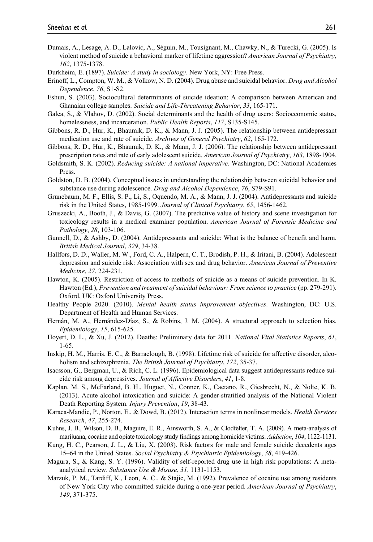- Dumais, A., Lesage, A. D., Lalovic, A., Séguin, M., Tousignant, M., Chawky, N., & Turecki, G. (2005). Is violent method of suicide a behavioral marker of lifetime aggression? *American Journal of Psychiatry*, *162*, 1375-1378.
- Durkheim, E. (1897). *Suicide: A study in sociology*. New York, NY: Free Press.
- Erinoff, L., Compton, W. M., & Volkow, N. D. (2004). Drug abuse and suicidal behavior. *Drug and Alcohol Dependence*, *76*, S1-S2.
- Eshun, S. (2003). Sociocultural determinants of suicide ideation: A comparison between American and Ghanaian college samples. *Suicide and Life-Threatening Behavior*, *33*, 165-171.
- Galea, S., & Vlahov, D. (2002). Social determinants and the health of drug users: Socioeconomic status, homelessness, and incarceration. *Public Health Reports*, *117*, S135-S145.
- Gibbons, R. D., Hur, K., Bhaumik, D. K., & Mann, J. J. (2005). The relationship between antidepressant medication use and rate of suicide. *Archives of General Psychiatry*, *62*, 165-172.
- Gibbons, R. D., Hur, K., Bhaumik, D. K., & Mann, J. J. (2006). The relationship between antidepressant prescription rates and rate of early adolescent suicide. *American Journal of Psychiatry*, *163*, 1898-1904.
- Goldsmith, S. K. (2002). *Reducing suicide: A national imperative*. Washington, DC: National Academies Press.
- Goldston, D. B. (2004). Conceptual issues in understanding the relationship between suicidal behavior and substance use during adolescence. *Drug and Alcohol Dependence*, *76*, S79-S91.
- Grunebaum, M. F., Ellis, S. P., Li, S., Oquendo, M. A., & Mann, J. J. (2004). Antidepressants and suicide risk in the United States, 1985-1999. *Journal of Clinical Psychiatry*, *65*, 1456-1462.
- Gruszecki, A., Booth, J., & Davis, G. (2007). The predictive value of history and scene investigation for toxicology results in a medical examiner population. *American Journal of Forensic Medicine and Pathology*, *28*, 103-106.
- Gunnell, D., & Ashby, D. (2004). Antidepressants and suicide: What is the balance of benefit and harm. *British Medical Journal*, *329*, 34-38.
- Hallfors, D. D., Waller, M. W., Ford, C. A., Halpern, C. T., Brodish, P. H., & Iritani, B. (2004). Adolescent depression and suicide risk: Association with sex and drug behavior. *American Journal of Preventive Medicine*, *27*, 224-231.
- Hawton, K. (2005). Restriction of access to methods of suicide as a means of suicide prevention. In K. Hawton (Ed.), *Prevention and treatment of suicidal behaviour: From science to practice* (pp. 279-291). Oxford, UK: Oxford University Press.
- Healthy People 2020. (2010). *Mental health status improvement objectives*. Washington, DC: U.S. Department of Health and Human Services.
- Hernán, M. A., Hernández-Díaz, S., & Robins, J. M. (2004). A structural approach to selection bias. *Epidemiology*, *15*, 615-625.
- Hoyert, D. L., & Xu, J. (2012). Deaths: Preliminary data for 2011. *National Vital Statistics Reports*, *61*, 1-65.
- Inskip, H. M., Harris, E. C., & Barraclough, B. (1998). Lifetime risk of suicide for affective disorder, alcoholism and schizophrenia. *The British Journal of Psychiatry*, *172*, 35-37.
- Isacsson, G., Bergman, U., & Rich, C. L. (1996). Epidemiological data suggest antidepressants reduce suicide risk among depressives. *Journal of Affective Disorders*, *41*, 1-8.
- Kaplan, M. S., McFarland, B. H., Huguet, N., Conner, K., Caetano, R., Giesbrecht, N., & Nolte, K. B. (2013). Acute alcohol intoxication and suicide: A gender-stratified analysis of the National Violent Death Reporting System. *Injury Prevention*, *19*, 38-43.
- Karaca-Mandic, P., Norton, E., & Dowd, B. (2012). Interaction terms in nonlinear models. *Health Services Research*, *47*, 255-274.
- Kuhns, J. B., Wilson, D. B., Maguire, E. R., Ainsworth, S. A., & Clodfelter, T. A. (2009). A meta-analysis of marijuana, cocaine and opiate toxicology study findings among homicide victims. *Addiction*, *104*, 1122-1131.
- Kung, H. C., Pearson, J. L., & Liu, X. (2003). Risk factors for male and female suicide decedents ages 15–64 in the United States. *Social Psychiatry & Psychiatric Epidemiology*, *38*, 419-426.
- Magura, S., & Kang, S. Y. (1996). Validity of self-reported drug use in high risk populations: A metaanalytical review. *Substance Use & Misuse*, *31*, 1131-1153.
- Marzuk, P. M., Tardiff, K., Leon, A. C., & Stajic, M. (1992). Prevalence of cocaine use among residents of New York City who committed suicide during a one-year period. *American Journal of Psychiatry*, *149*, 371-375.